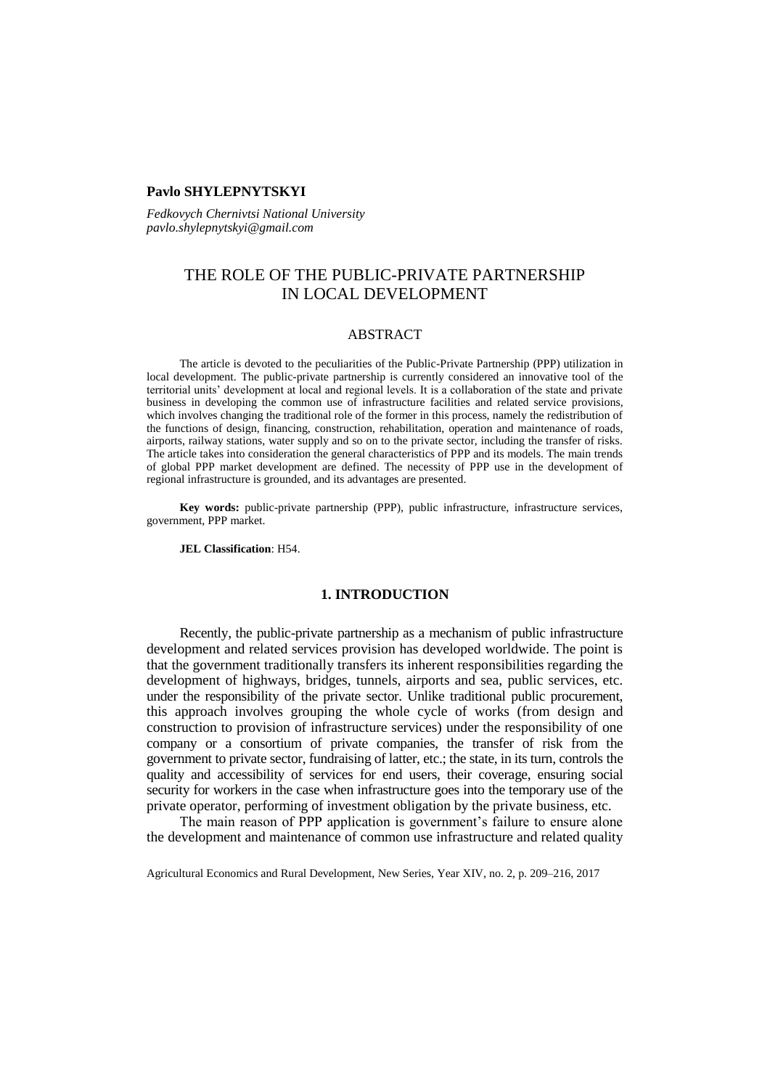# **Pavlo SHYLEPNYTSKYI**

*Fedkovych Chernivtsi National University pavlo.shylepnytskyi@gmail.com*

# THE ROLE OF THE PUBLIC-PRIVATE PARTNERSHIP IN LOCAL DEVELOPMENT

# ABSTRACT

The article is devoted to the peculiarities of the Public-Private Partnership (PPP) utilization in local development. The public-private partnership is currently considered an innovative tool of the territorial units' development at local and regional levels. It is a collaboration of the state and private business in developing the common use of infrastructure facilities and related service provisions, which involves changing the traditional role of the former in this process, namely the redistribution of the functions of design, financing, construction, rehabilitation, operation and maintenance of roads, airports, railway stations, water supply and so on to the private sector, including the transfer of risks. The article takes into consideration the general characteristics of PPP and its models. The main trends of global PPP market development are defined. The necessity of PPP use in the development of regional infrastructure is grounded, and its advantages are presented.

**Key words:** public-private partnership (PPP), public infrastructure, infrastructure services, government, PPP market.

**JEL Classification**: H54.

# **1. INTRODUCTION**

Recently, the public-private partnership as a mechanism of public infrastructure development and related services provision has developed worldwide. The point is that the government traditionally transfers its inherent responsibilities regarding the development of highways, bridges, tunnels, airports and sea, public services, etc. under the responsibility of the private sector. Unlike traditional public procurement, this approach involves grouping the whole cycle of works (from design and construction to provision of infrastructure services) under the responsibility of one company or a consortium of private companies, the transfer of risk from the government to private sector, fundraising of latter, etc.; the state, in its turn, controls the quality and accessibility of services for end users, their coverage, ensuring social security for workers in the case when infrastructure goes into the temporary use of the private operator, performing of investment obligation by the private business, etc.

The main reason of PPP application is government's failure to ensure alone the development and maintenance of common use infrastructure and related quality

Agricultural Economics and Rural Development, New Series, Year XIV, no. 2, p. 209–216, 2017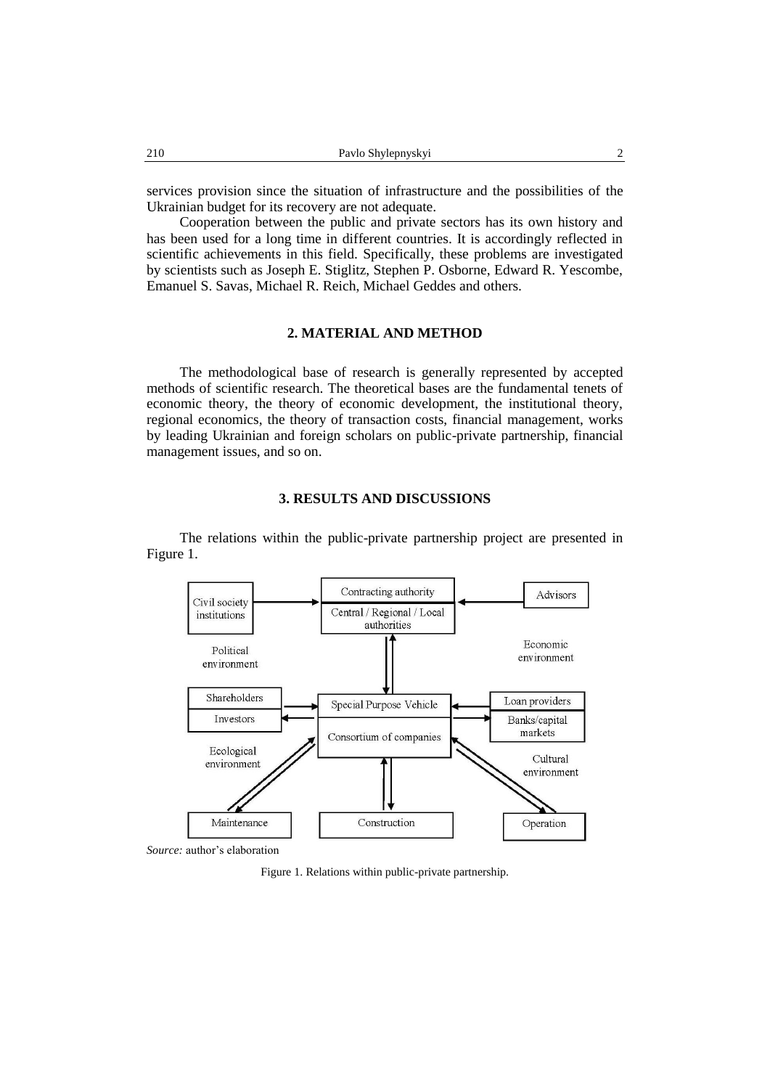services provision since the situation of infrastructure and the possibilities of the Ukrainian budget for its recovery are not adequate.

Cooperation between the public and private sectors has its own history and has been used for a long time in different countries. It is accordingly reflected in scientific achievements in this field. Specifically, these problems are investigated by scientists such as Joseph E. Stiglitz, Stephen P. Osborne, Edward R. Yescombe, Emanuel S. Savas, Michael R. Reich, Michael Geddes and others.

# **2. MATERIAL AND METHOD**

The methodological base of research is generally represented by accepted methods of scientific research. The theoretical bases are the fundamental tenets of economic theory, the theory of economic development, the institutional theory, regional economics, the theory of transaction costs, financial management, works by leading Ukrainian and foreign scholars on public-private partnership, financial management issues, and so on.

### **3. RESULTS AND DISCUSSIONS**

The relations within the public-private partnership project are presented in Figure 1.



Figure 1. Relations within public-private partnership.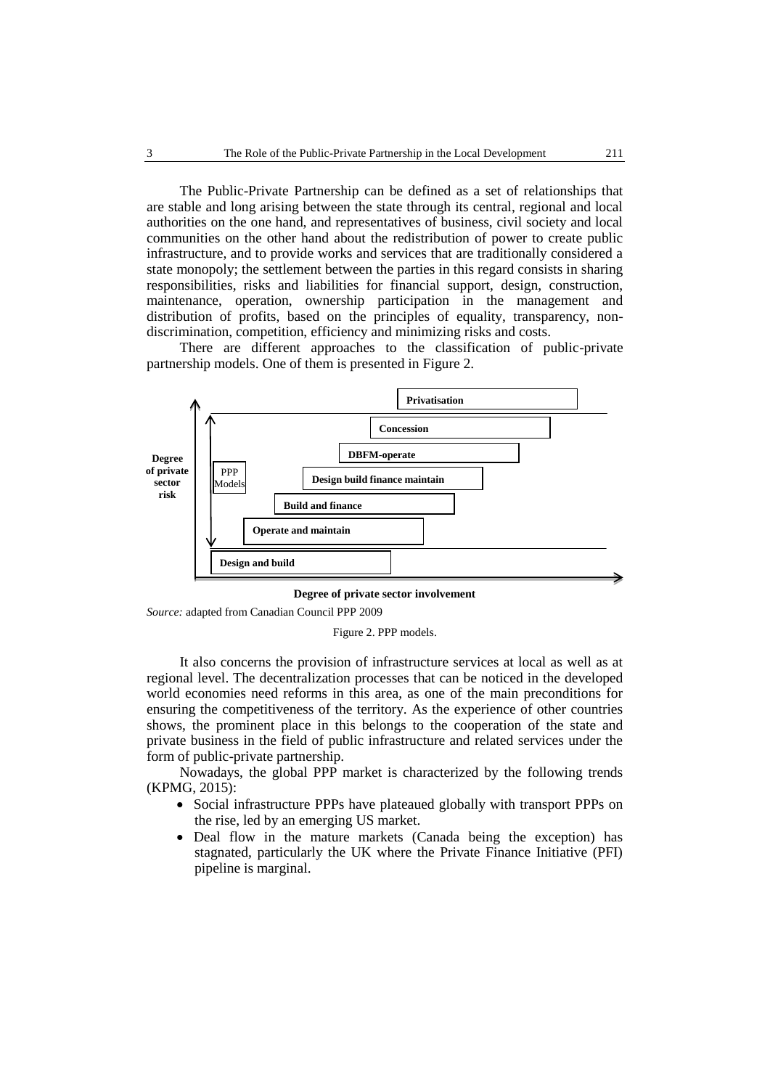The Public-Private Partnership can be defined as a set of relationships that are stable and long arising between the state through its central, regional and local authorities on the one hand, and representatives of business, civil society and local communities on the other hand about the redistribution of power to create public infrastructure, and to provide works and services that are traditionally considered a state monopoly; the settlement between the parties in this regard consists in sharing responsibilities, risks and liabilities for financial support, design, construction, maintenance, operation, ownership participation in the management and distribution of profits, based on the principles of equality, transparency, nondiscrimination, competition, efficiency and minimizing risks and costs.

There are different approaches to the classification of public-private partnership models. One of them is presented in Figure 2.



**Degree of private sector involvement**

*Source:* adapted from Canadian Council PPP 2009

Figure 2. PPP models.

It also concerns the provision of infrastructure services at local as well as at regional level. The decentralization processes that can be noticed in the developed world economies need reforms in this area, as one of the main preconditions for ensuring the competitiveness of the territory. As the experience of other countries shows, the prominent place in this belongs to the cooperation of the state and private business in the field of public infrastructure and related services under the form of public-private partnership.

Nowadays, the global PPP market is characterized by the following trends (KPMG, 2015):

- Social infrastructure PPPs have plateaued globally with transport PPPs on the rise, led by an emerging US market.
- Deal flow in the mature markets (Canada being the exception) has stagnated, particularly the UK where the Private Finance Initiative (PFI) pipeline is marginal.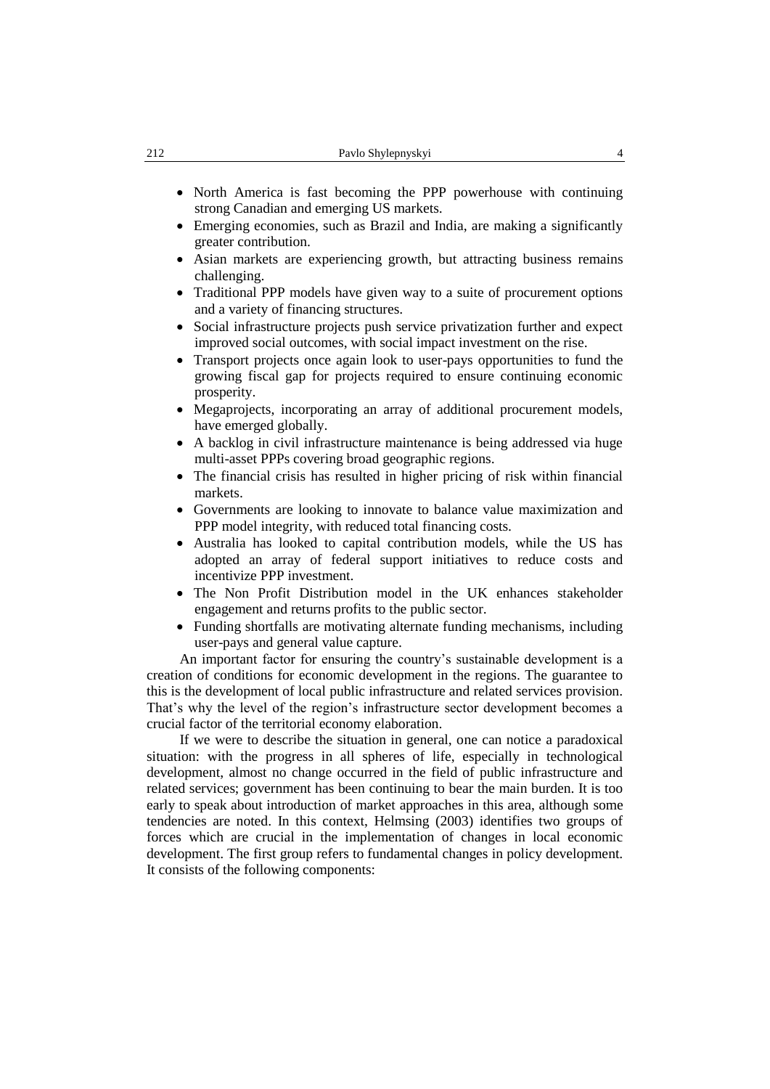- North America is fast becoming the PPP powerhouse with continuing strong Canadian and emerging US markets.
- Emerging economies, such as Brazil and India, are making a significantly greater contribution.
- Asian markets are experiencing growth, but attracting business remains challenging.
- Traditional PPP models have given way to a suite of procurement options and a variety of financing structures.
- Social infrastructure projects push service privatization further and expect improved social outcomes, with social impact investment on the rise.
- Transport projects once again look to user-pays opportunities to fund the growing fiscal gap for projects required to ensure continuing economic prosperity.
- Megaprojects, incorporating an array of additional procurement models, have emerged globally.
- A backlog in civil infrastructure maintenance is being addressed via huge multi-asset PPPs covering broad geographic regions.
- The financial crisis has resulted in higher pricing of risk within financial markets.
- Governments are looking to innovate to balance value maximization and PPP model integrity, with reduced total financing costs.
- Australia has looked to capital contribution models, while the US has adopted an array of federal support initiatives to reduce costs and incentivize PPP investment.
- The Non Profit Distribution model in the UK enhances stakeholder engagement and returns profits to the public sector.
- Funding shortfalls are motivating alternate funding mechanisms, including user-pays and general value capture.

An important factor for ensuring the country's sustainable development is a creation of conditions for economic development in the regions. The guarantee to this is the development of local public infrastructure and related services provision. That's why the level of the region's infrastructure sector development becomes a crucial factor of the territorial economy elaboration.

If we were to describe the situation in general, one can notice a paradoxical situation: with the progress in all spheres of life, especially in technological development, almost no change occurred in the field of public infrastructure and related services; government has been continuing to bear the main burden. It is too early to speak about introduction of market approaches in this area, although some tendencies are noted. In this context, Helmsing (2003) identifies two groups of forces which are crucial in the implementation of changes in local economic development. The first group refers to fundamental changes in policy development. It consists of the following components: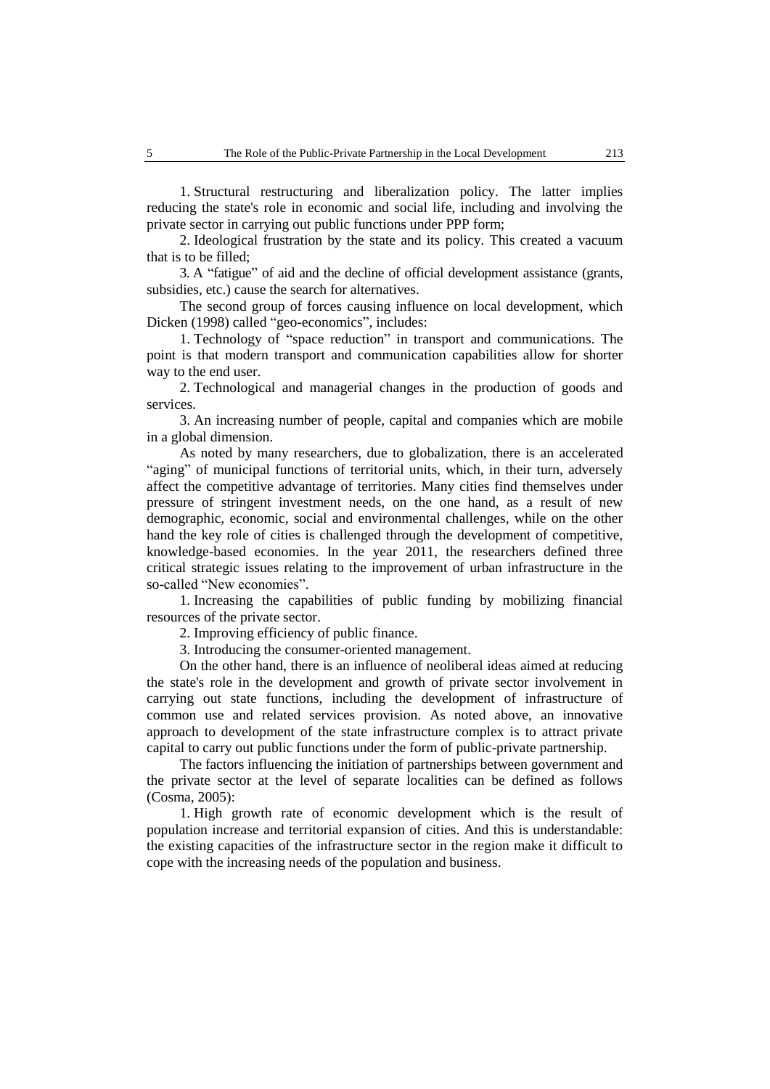1. Structural restructuring and liberalization policy. The latter implies reducing the state's role in economic and social life, including and involving the private sector in carrying out public functions under PPP form;

2. Ideological frustration by the state and its policy. This created a vacuum that is to be filled;

3. A "fatigue" of aid and the decline of official development assistance (grants, subsidies, etc.) cause the search for alternatives.

The second group of forces causing influence on local development, which Dicken (1998) called "geo-economics", includes:

1. Technology of "space reduction" in transport and communications. The point is that modern transport and communication capabilities allow for shorter way to the end user.

2. Technological and managerial changes in the production of goods and services.

3. An increasing number of people, capital and companies which are mobile in a global dimension.

As noted by many researchers, due to globalization, there is an accelerated "aging" of municipal functions of territorial units, which, in their turn, adversely affect the competitive advantage of territories. Many cities find themselves under pressure of stringent investment needs, on the one hand, as a result of new demographic, economic, social and environmental challenges, while on the other hand the key role of cities is challenged through the development of competitive, knowledge-based economies. In the year 2011, the researchers defined three critical strategic issues relating to the improvement of urban infrastructure in the so-called "New economies".

1. Increasing the capabilities of public funding by mobilizing financial resources of the private sector.

2. Improving efficiency of public finance.

3. Introducing the consumer-oriented management.

On the other hand, there is an influence of neoliberal ideas aimed at reducing the state's role in the development and growth of private sector involvement in carrying out state functions, including the development of infrastructure of common use and related services provision. As noted above, an innovative approach to development of the state infrastructure complex is to attract private capital to carry out public functions under the form of public-private partnership.

The factors influencing the initiation of partnerships between government and the private sector at the level of separate localities can be defined as follows (Cosma, 2005):

1. High growth rate of economic development which is the result of population increase and territorial expansion of cities. And this is understandable: the existing capacities of the infrastructure sector in the region make it difficult to cope with the increasing needs of the population and business.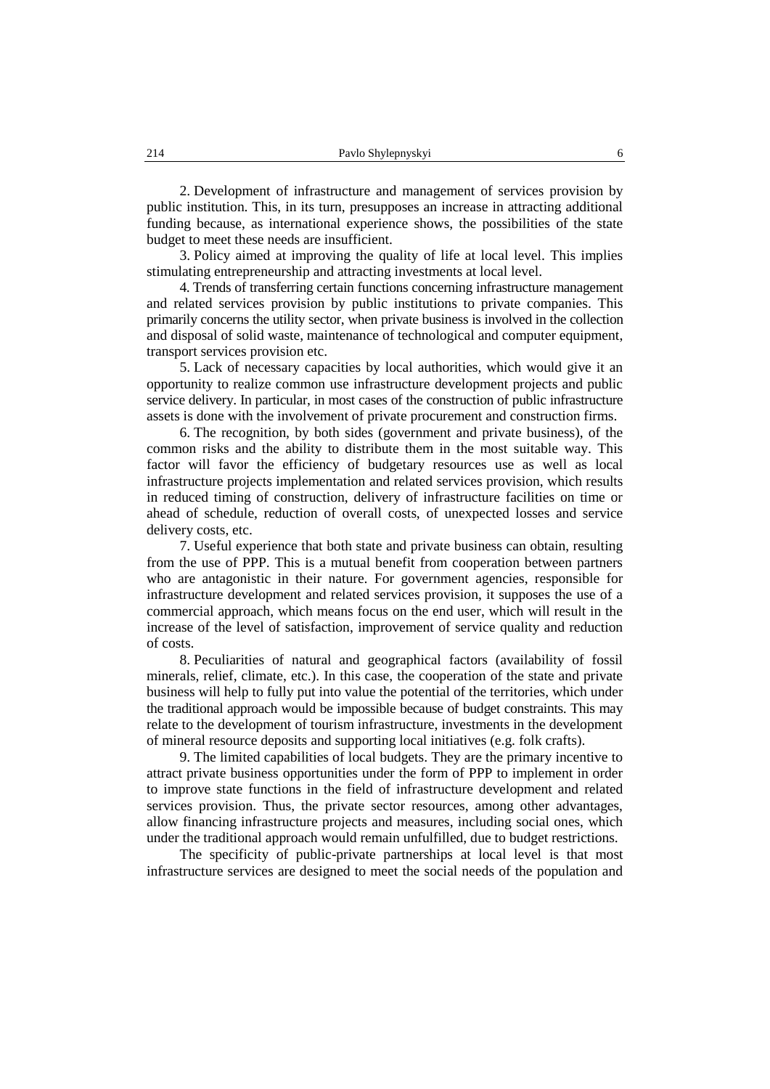2. Development of infrastructure and management of services provision by public institution. This, in its turn, presupposes an increase in attracting additional funding because, as international experience shows, the possibilities of the state budget to meet these needs are insufficient.

3. Policy aimed at improving the quality of life at local level. This implies stimulating entrepreneurship and attracting investments at local level.

4. Trends of transferring certain functions concerning infrastructure management and related services provision by public institutions to private companies. This primarily concerns the utility sector, when private business is involved in the collection and disposal of solid waste, maintenance of technological and computer equipment, transport services provision etc.

5. Lack of necessary capacities by local authorities, which would give it an opportunity to realize common use infrastructure development projects and public service delivery. In particular, in most cases of the construction of public infrastructure assets is done with the involvement of private procurement and construction firms.

6. The recognition, by both sides (government and private business), of the common risks and the ability to distribute them in the most suitable way. This factor will favor the efficiency of budgetary resources use as well as local infrastructure projects implementation and related services provision, which results in reduced timing of construction, delivery of infrastructure facilities on time or ahead of schedule, reduction of overall costs, of unexpected losses and service delivery costs, etc.

7. Useful experience that both state and private business can obtain, resulting from the use of PPP. This is a mutual benefit from cooperation between partners who are antagonistic in their nature. For government agencies, responsible for infrastructure development and related services provision, it supposes the use of a commercial approach, which means focus on the end user, which will result in the increase of the level of satisfaction, improvement of service quality and reduction of costs.

8. Peculiarities of natural and geographical factors (availability of fossil minerals, relief, climate, etc.). In this case, the cooperation of the state and private business will help to fully put into value the potential of the territories, which under the traditional approach would be impossible because of budget constraints. This may relate to the development of tourism infrastructure, investments in the development of mineral resource deposits and supporting local initiatives (e.g. folk crafts).

9. The limited capabilities of local budgets. They are the primary incentive to attract private business opportunities under the form of PPP to implement in order to improve state functions in the field of infrastructure development and related services provision. Thus, the private sector resources, among other advantages, allow financing infrastructure projects and measures, including social ones, which under the traditional approach would remain unfulfilled, due to budget restrictions.

The specificity of public-private partnerships at local level is that most infrastructure services are designed to meet the social needs of the population and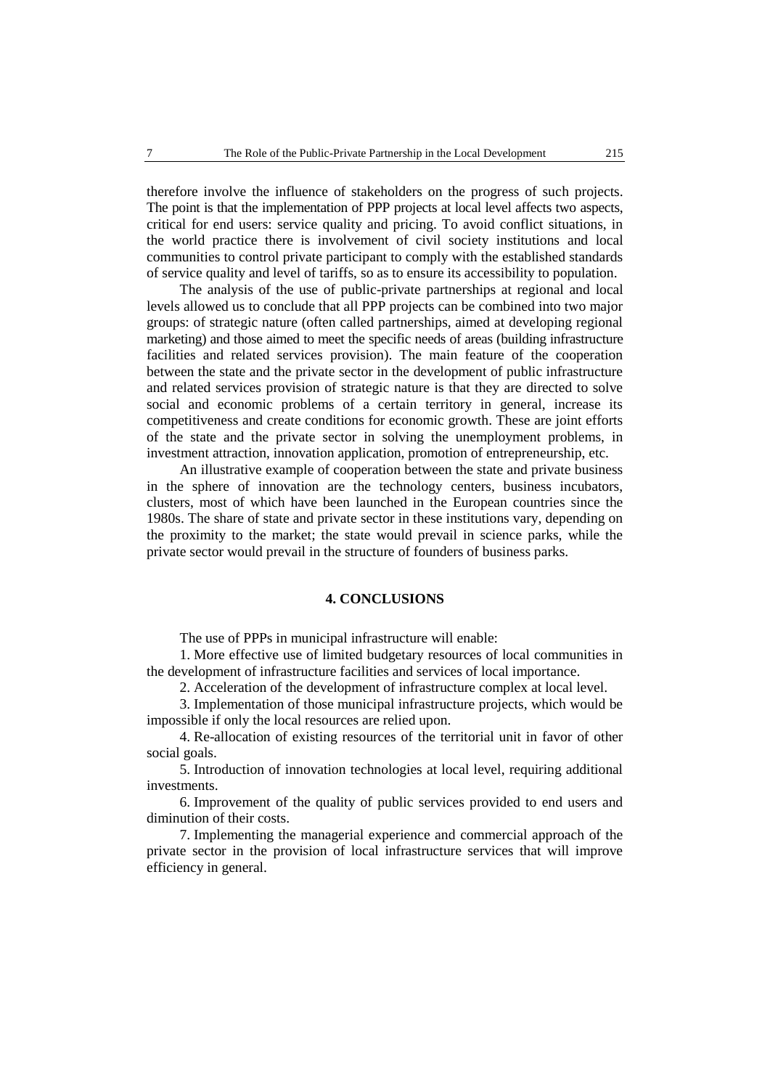therefore involve the influence of stakeholders on the progress of such projects. The point is that the implementation of PPP projects at local level affects two aspects, critical for end users: service quality and pricing. To avoid conflict situations, in the world practice there is involvement of civil society institutions and local communities to control private participant to comply with the established standards of service quality and level of tariffs, so as to ensure its accessibility to population.

The analysis of the use of public-private partnerships at regional and local levels allowed us to conclude that all PPP projects can be combined into two major groups: of strategic nature (often called partnerships, aimed at developing regional marketing) and those aimed to meet the specific needs of areas (building infrastructure facilities and related services provision). The main feature of the cooperation between the state and the private sector in the development of public infrastructure and related services provision of strategic nature is that they are directed to solve social and economic problems of a certain territory in general, increase its competitiveness and create conditions for economic growth. These are joint efforts of the state and the private sector in solving the unemployment problems, in investment attraction, innovation application, promotion of entrepreneurship, etc.

An illustrative example of cooperation between the state and private business in the sphere of innovation are the technology centers, business incubators, clusters, most of which have been launched in the European countries since the 1980s. The share of state and private sector in these institutions vary, depending on the proximity to the market; the state would prevail in science parks, while the private sector would prevail in the structure of founders of business parks.

# **4. CONCLUSIONS**

The use of PPPs in municipal infrastructure will enable:

1. More effective use of limited budgetary resources of local communities in the development of infrastructure facilities and services of local importance.

2. Acceleration of the development of infrastructure complex at local level.

3. Implementation of those municipal infrastructure projects, which would be impossible if only the local resources are relied upon.

4. Re-allocation of existing resources of the territorial unit in favor of other social goals.

5. Introduction of innovation technologies at local level, requiring additional investments.

6. Improvement of the quality of public services provided to end users and diminution of their costs.

7. Implementing the managerial experience and commercial approach of the private sector in the provision of local infrastructure services that will improve efficiency in general.